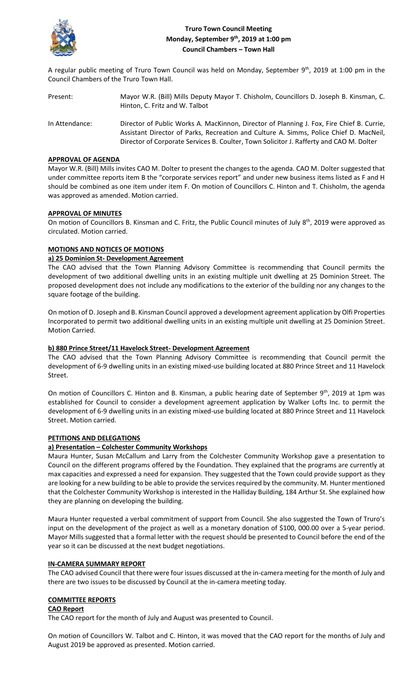

# **Truro Town Council Meeting Monday, September 9th, 2019 at 1:00 pm Council Chambers – Town Hall**

A regular public meeting of Truro Town Council was held on Monday, September 9<sup>th</sup>, 2019 at 1:00 pm in the Council Chambers of the Truro Town Hall.

Present: Mayor W.R. (Bill) Mills Deputy Mayor T. Chisholm, Councillors D. Joseph B. Kinsman, C. Hinton, C. Fritz and W. Talbot In Attendance: Director of Public Works A. MacKinnon, Director of Planning J. Fox, Fire Chief B. Currie, Assistant Director of Parks, Recreation and Culture A. Simms, Police Chief D. MacNeil, Director of Corporate Services B. Coulter, Town Solicitor J. Rafferty and CAO M. Dolter

### **APPROVAL OF AGENDA**

Mayor W.R. (Bill) Mills invites CAO M. Dolter to present the changes to the agenda. CAO M. Dolter suggested that under committee reports item B the "corporate services report" and under new business items listed as F and H should be combined as one item under item F. On motion of Councillors C. Hinton and T. Chisholm, the agenda was approved as amended. Motion carried.

# **APPROVAL OF MINUTES**

On motion of Councillors B. Kinsman and C. Fritz, the Public Council minutes of July 8<sup>th</sup>, 2019 were approved as circulated. Motion carried.

# **MOTIONS AND NOTICES OF MOTIONS**

### **a) 25 Dominion St- Development Agreement**

The CAO advised that the Town Planning Advisory Committee is recommending that Council permits the development of two additional dwelling units in an existing multiple unit dwelling at 25 Dominion Street. The proposed development does not include any modifications to the exterior of the building nor any changes to the square footage of the building.

On motion of D. Joseph and B. Kinsman Council approved a development agreement application by Olfi Properties Incorporated to permit two additional dwelling units in an existing multiple unit dwelling at 25 Dominion Street. Motion Carried.

# **b) 880 Prince Street/11 Havelock Street- Development Agreement**

The CAO advised that the Town Planning Advisory Committee is recommending that Council permit the development of 6-9 dwelling units in an existing mixed-use building located at 880 Prince Street and 11 Havelock Street.

On motion of Councillors C. Hinton and B. Kinsman, a public hearing date of September 9th, 2019 at 1pm was established for Council to consider a development agreement application by Walker Lofts Inc. to permit the development of 6-9 dwelling units in an existing mixed-use building located at 880 Prince Street and 11 Havelock Street. Motion carried.

# **PETITIONS AND DELEGATIONS**

# **a) Presentation – Colchester Community Workshops**

Maura Hunter, Susan McCallum and Larry from the Colchester Community Workshop gave a presentation to Council on the different programs offered by the Foundation. They explained that the programs are currently at max capacities and expressed a need for expansion. They suggested that the Town could provide support as they are looking for a new building to be able to provide the services required by the community. M. Hunter mentioned that the Colchester Community Workshop is interested in the Halliday Building, 184 Arthur St. She explained how they are planning on developing the building.

Maura Hunter requested a verbal commitment of support from Council. She also suggested the Town of Truro's input on the development of the project as well as a monetary donation of \$100, 000.00 over a 5-year period. Mayor Mills suggested that a formal letter with the request should be presented to Council before the end of the year so it can be discussed at the next budget negotiations.

#### **IN-CAMERA SUMMARY REPORT**

The CAO advised Council that there were four issues discussed at the in-camera meeting for the month of July and there are two issues to be discussed by Council at the in-camera meeting today.

# **COMMITTEE REPORTS**

#### **CAO Report**

The CAO report for the month of July and August was presented to Council.

On motion of Councillors W. Talbot and C. Hinton, it was moved that the CAO report for the months of July and August 2019 be approved as presented. Motion carried.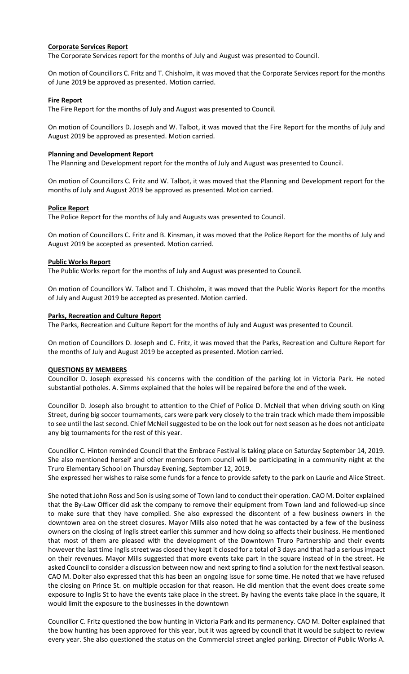### **Corporate Services Report**

The Corporate Services report for the months of July and August was presented to Council.

On motion of Councillors C. Fritz and T. Chisholm, it was moved that the Corporate Services report for the months of June 2019 be approved as presented. Motion carried.

# **Fire Report**

The Fire Report for the months of July and August was presented to Council.

On motion of Councillors D. Joseph and W. Talbot, it was moved that the Fire Report for the months of July and August 2019 be approved as presented. Motion carried.

#### **Planning and Development Report**

The Planning and Development report for the months of July and August was presented to Council.

On motion of Councillors C. Fritz and W. Talbot, it was moved that the Planning and Development report for the months of July and August 2019 be approved as presented. Motion carried.

### **Police Report**

The Police Report for the months of July and Augusts was presented to Council.

On motion of Councillors C. Fritz and B. Kinsman, it was moved that the Police Report for the months of July and August 2019 be accepted as presented. Motion carried.

### **Public Works Report**

The Public Works report for the months of July and August was presented to Council.

On motion of Councillors W. Talbot and T. Chisholm, it was moved that the Public Works Report for the months of July and August 2019 be accepted as presented. Motion carried.

### **Parks, Recreation and Culture Report**

The Parks, Recreation and Culture Report for the months of July and August was presented to Council.

On motion of Councillors D. Joseph and C. Fritz, it was moved that the Parks, Recreation and Culture Report for the months of July and August 2019 be accepted as presented. Motion carried.

# **QUESTIONS BY MEMBERS**

Councillor D. Joseph expressed his concerns with the condition of the parking lot in Victoria Park. He noted substantial potholes. A. Simms explained that the holes will be repaired before the end of the week.

Councillor D. Joseph also brought to attention to the Chief of Police D. McNeil that when driving south on King Street, during big soccer tournaments, cars were park very closely to the train track which made them impossible to see until the last second. Chief McNeil suggested to be on the look out for next season as he does not anticipate any big tournaments for the rest of this year.

Councillor C. Hinton reminded Council that the Embrace Festival is taking place on Saturday September 14, 2019. She also mentioned herself and other members from council will be participating in a community night at the Truro Elementary School on Thursday Evening, September 12, 2019.

She expressed her wishes to raise some funds for a fence to provide safety to the park on Laurie and Alice Street.

She noted that John Ross and Son is using some of Town land to conduct their operation. CAO M. Dolter explained that the By-Law Officer did ask the company to remove their equipment from Town land and followed-up since to make sure that they have complied. She also expressed the discontent of a few business owners in the downtown area on the street closures. Mayor Mills also noted that he was contacted by a few of the business owners on the closing of Inglis street earlier this summer and how doing so affects their business. He mentioned that most of them are pleased with the development of the Downtown Truro Partnership and their events however the last time Inglis street was closed they kept it closed for a total of 3 days and that had a serious impact on their revenues. Mayor Mills suggested that more events take part in the square instead of in the street. He asked Council to consider a discussion between now and next spring to find a solution for the next festival season. CAO M. Dolter also expressed that this has been an ongoing issue for some time. He noted that we have refused the closing on Prince St. on multiple occasion for that reason. He did mention that the event does create some exposure to Inglis St to have the events take place in the street. By having the events take place in the square, it would limit the exposure to the businesses in the downtown

Councillor C. Fritz questioned the bow hunting in Victoria Park and its permanency. CAO M. Dolter explained that the bow hunting has been approved for this year, but it was agreed by council that it would be subject to review every year. She also questioned the status on the Commercial street angled parking. Director of Public Works A.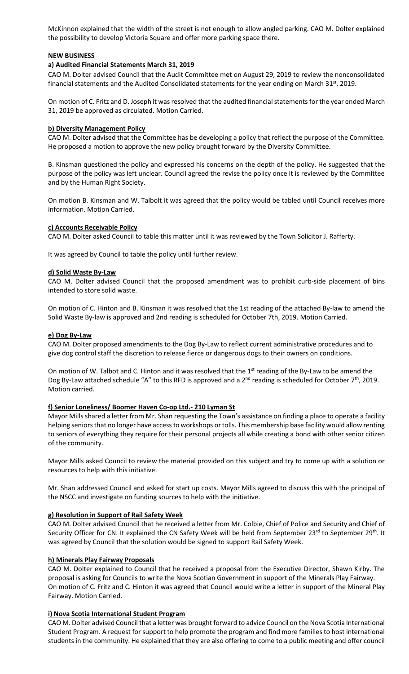McKinnon explained that the width of the street is not enough to allow angled parking. CAO M. Dolter explained the possibility to develop Victoria Square and offer more parking space there.

# **NEW BUSINESS**

### **a) Audited Financial Statements March 31, 2019**

CAO M. Dolter advised Council that the Audit Committee met on August 29, 2019 to review the nonconsolidated financial statements and the Audited Consolidated statements for the year ending on March 31<sup>st</sup>, 2019.

On motion of C. Fritz and D. Joseph it was resolved that the audited financial statements for the year ended March 31, 2019 be approved as circulated. Motion Carried.

### **b) Diversity Management Policy**

CAO M. Dolter advised that the Committee has be developing a policy that reflect the purpose of the Committee. He proposed a motion to approve the new policy brought forward by the Diversity Committee.

B. Kinsman questioned the policy and expressed his concerns on the depth of the policy. He suggested that the purpose of the policy was left unclear. Council agreed the revise the policy once it is reviewed by the Committee and by the Human Right Society.

On motion B. Kinsman and W. Talbolt it was agreed that the policy would be tabled until Council receives more information. Motion Carried.

### **c) Accounts Receivable Policy**

CAO M. Dolter asked Council to table this matter until it was reviewed by the Town Solicitor J. Rafferty.

It was agreed by Council to table the policy until further review.

# **d) Solid Waste By-Law**

CAO M. Dolter advised Council that the proposed amendment was to prohibit curb-side placement of bins intended to store solid waste.

On motion of C. Hinton and B. Kinsman it was resolved that the 1st reading of the attached By-law to amend the Solid Waste By-law is approved and 2nd reading is scheduled for October 7th, 2019. Motion Carried.

#### **e) Dog By-Law**

CAO M. Dolter proposed amendments to the Dog By-Law to reflect current administrative procedures and to give dog control staff the discretion to release fierce or dangerous dogs to their owners on conditions.

On motion of W. Talbot and C. Hinton and it was resolved that the 1<sup>st</sup> reading of the By-Law to be amend the Dog By-Law attached schedule "A" to this RFD is approved and a  $2^{nd}$  reading is scheduled for October  $7^{th}$ , 2019. Motion carried.

# **f) Senior Loneliness/ Boomer Haven Co-op Ltd.- 210 Lyman St**

Mayor Mills shared a letter from Mr. Shan requesting the Town's assistance on finding a place to operate a facility helping seniors that no longer have access to workshops or tolls. This membership base facility would allow renting to seniors of everything they require for their personal projects all while creating a bond with other senior citizen of the community.

Mayor Mills asked Council to review the material provided on this subject and try to come up with a solution or resources to help with this initiative.

Mr. Shan addressed Council and asked for start up costs. Mayor Mills agreed to discuss this with the principal of the NSCC and investigate on funding sources to help with the initiative.

### **g) Resolution in Support of Rail Safety Week**

CAO M. Dolter advised Council that he received a letter from Mr. Colbie, Chief of Police and Security and Chief of Security Officer for CN. It explained the CN Safety Week will be held from September 23<sup>rd</sup> to September 29<sup>th</sup>. It was agreed by Council that the solution would be signed to support Rail Safety Week.

#### **h) Minerals Play Fairway Proposals**

CAO M. Dolter explained to Council that he received a proposal from the Executive Director, Shawn Kirby. The proposal is asking for Councils to write the Nova Scotian Government in support of the Minerals Play Fairway. On motion of C. Fritz and C. Hinton it was agreed that Council would write a letter in support of the Mineral Play Fairway. Motion Carried.

# **i) Nova Scotia International Student Program**

CAO M. Dolter advised Council that a letter was brought forward to advice Council on the Nova Scotia International Student Program. A request for support to help promote the program and find more families to host international students in the community. He explained that they are also offering to come to a public meeting and offer council